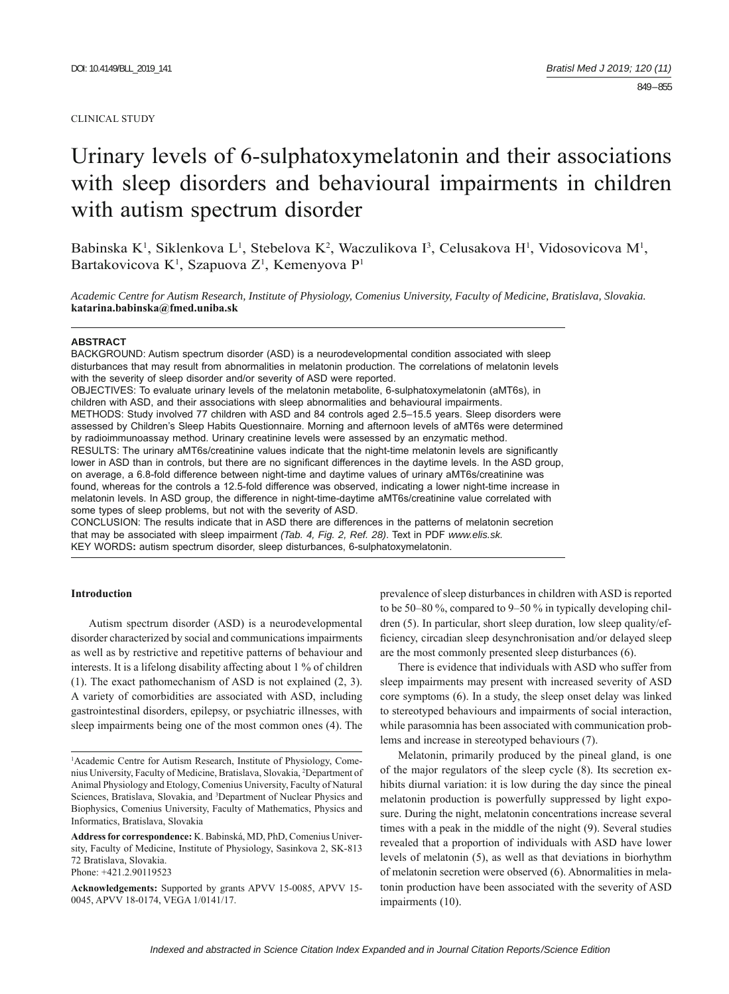#### CLINICAL STUDY

# Urinary levels of 6-sulphatoxymelatonin and their associations with sleep disorders and behavioural impairments in children with autism spectrum disorder

Babinska K<sup>1</sup>, Siklenkova L<sup>1</sup>, Stebelova K<sup>2</sup>, Waczulikova I<sup>3</sup>, Celusakova H<sup>1</sup>, Vidosovicova M<sup>1</sup>, Bartakovicova K<sup>1</sup>, Szapuova Z<sup>1</sup>, Kemenyova P<sup>1</sup>

*Academic Centre for Autism Research, Institute of Physiology, Comenius University, Faculty of Medicine, Bratislava, Slovakia.*  **katarina.babinska@fmed.uniba.sk**

#### **ABSTRACT**

BACKGROUND: Autism spectrum disorder (ASD) is a neurodevelopmental condition associated with sleep disturbances that may result from abnormalities in melatonin production. The correlations of melatonin levels with the severity of sleep disorder and/or severity of ASD were reported. OBJECTIVES: To evaluate urinary levels of the melatonin metabolite, 6-sulphatoxymelatonin (aMT6s), in children with ASD, and their associations with sleep abnormalities and behavioural impairments. METHODS: Study involved 77 children with ASD and 84 controls aged 2.5–15.5 years. Sleep disorders were assessed by Children's Sleep Habits Questionnaire. Morning and afternoon levels of aMT6s were determined by radioimmunoassay method. Urinary creatinine levels were assessed by an enzymatic method. RESULTS: The urinary aMT6s/creatinine values indicate that the night-time melatonin levels are significantly lower in ASD than in controls, but there are no significant differences in the daytime levels. In the ASD group, on average, a 6.8-fold difference between night-time and daytime values of urinary aMT6s/creatinine was found, whereas for the controls a 12.5-fold difference was observed, indicating a lower night-time increase in melatonin levels. In ASD group, the difference in night-time-daytime aMT6s/creatinine value correlated with some types of sleep problems, but not with the severity of ASD.

CONCLUSION: The results indicate that in ASD there are differences in the patterns of melatonin secretion that may be associated with sleep impairment *(Tab. 4, Fig. 2, Ref. 28)*. Text in PDF *www.elis.sk.* KEY WORDS**:** autism spectrum disorder, sleep disturbances, 6-sulphatoxymelatonin.

## **Introduction**

Autism spectrum disorder (ASD) is a neurodevelopmental disorder characterized by social and communications impairments as well as by restrictive and repetitive patterns of behaviour and interests. It is a lifelong disability affecting about 1 % of children (1). The exact pathomechanism of ASD is not explained (2, 3). A variety of comorbidities are associated with ASD, including gastrointestinal disorders, epilepsy, or psychiatric illnesses, with sleep impairments being one of the most common ones (4). The

prevalence of sleep disturbances in children with ASD is reported to be 50–80 %, compared to 9–50 % in typically developing children (5). In particular, short sleep duration, low sleep quality/efficiency, circadian sleep desynchronisation and/or delayed sleep are the most commonly presented sleep disturbances (6).

There is evidence that individuals with ASD who suffer from sleep impairments may present with increased severity of ASD core symptoms (6). In a study, the sleep onset delay was linked to stereotyped behaviours and impairments of social interaction, while parasomnia has been associated with communication problems and increase in stereotyped behaviours (7).

Melatonin, primarily produced by the pineal gland, is one of the major regulators of the sleep cycle (8). Its secretion exhibits diurnal variation: it is low during the day since the pineal melatonin production is powerfully suppressed by light exposure. During the night, melatonin concentrations increase several times with a peak in the middle of the night (9). Several studies revealed that a proportion of individuals with ASD have lower levels of melatonin (5), as well as that deviations in biorhythm of melatonin secretion were observed (6). Abnormalities in melatonin production have been associated with the severity of ASD impairments (10).

<sup>&</sup>lt;sup>1</sup>Academic Centre for Autism Research, Institute of Physiology, Comenius University, Faculty of Medicine, Bratislava, Slovakia, 2 Department of Animal Physiology and Etology, Comenius University, Faculty of Natural Sciences, Bratislava, Slovakia, and <sup>3</sup>Department of Nuclear Physics and Biophysics, Comenius University, Faculty of Mathematics, Physics and Informatics, Bratislava, Slovakia

**Address for correspondence:** K. Babinská, MD, PhD, Comenius University, Faculty of Medicine, Institute of Physiology, Sasinkova 2, SK-813 72 Bratislava, Slovakia. Phone: +421.2.90119523

**Acknowledgements:** Supported by grants APVV 15-0085, APVV 15- 0045, APVV 18-0174, VEGA 1/0141/17.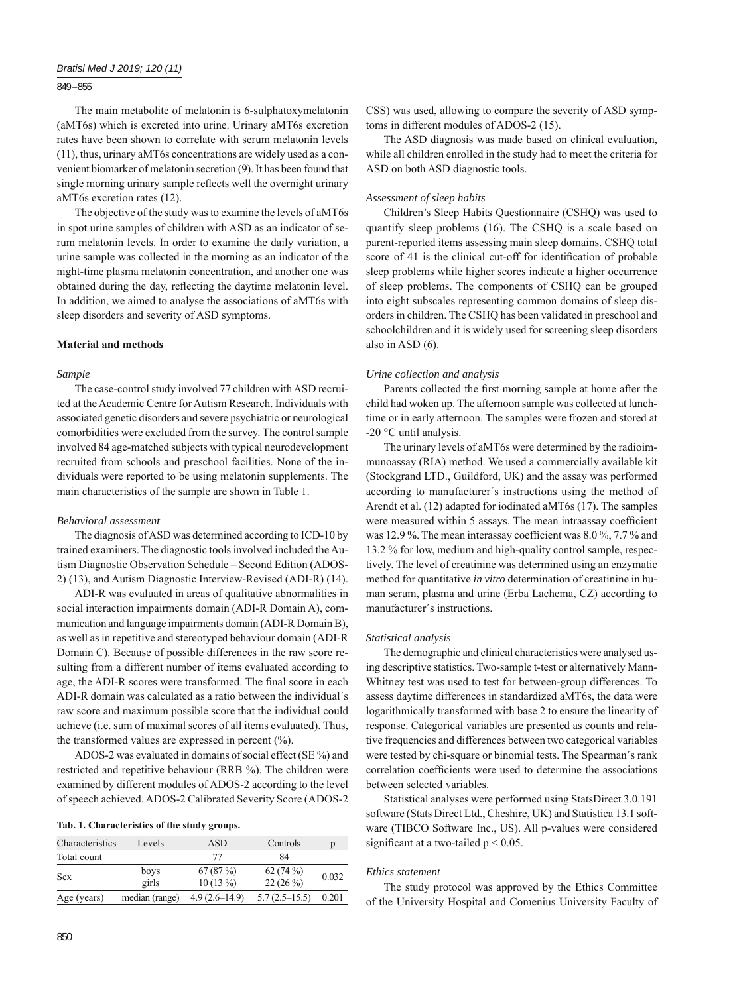## 849 – 855

The main metabolite of melatonin is 6-sulphatoxymelatonin (aMT6s) which is excreted into urine. Urinary aMT6s excretion rates have been shown to correlate with serum melatonin levels (11), thus, urinary aMT6s concentrations are widely used as a convenient biomarker of melatonin secretion (9). It has been found that single morning urinary sample reflects well the overnight urinary aMT6s excretion rates (12).

The objective of the study was to examine the levels of aMT6s in spot urine samples of children with ASD as an indicator of serum melatonin levels. In order to examine the daily variation, a urine sample was collected in the morning as an indicator of the night-time plasma melatonin concentration, and another one was obtained during the day, reflecting the daytime melatonin level. In addition, we aimed to analyse the associations of aMT6s with sleep disorders and severity of ASD symptoms.

# **Material and methods**

#### *Sample*

The case-control study involved 77 children with ASD recruited at the Academic Centre for Autism Research. Individuals with associated genetic disorders and severe psychiatric or neurological comorbidities were excluded from the survey. The control sample involved 84 age-matched subjects with typical neurodevelopment recruited from schools and preschool facilities. None of the individuals were reported to be using melatonin supplements. The main characteristics of the sample are shown in Table 1.

#### *Behavioral assessment*

The diagnosis of ASD was determined according to ICD-10 by trained examiners. The diagnostic tools involved included the Autism Diagnostic Observation Schedule - Second Edition (ADOS-2) (13), and Autism Diagnostic Interview-Revised (ADI-R) (14).

ADI-R was evaluated in areas of qualitative abnormalities in social interaction impairments domain (ADI-R Domain A), communication and language impairments domain (ADI-R Domain B), as well as in repetitive and stereotyped behaviour domain (ADI-R Domain C). Because of possible differences in the raw score resulting from a different number of items evaluated according to age, the ADI-R scores were transformed. The final score in each ADI-R domain was calculated as a ratio between the individual´s raw score and maximum possible score that the individual could achieve (i.e. sum of maximal scores of all items evaluated). Thus, the transformed values are expressed in percent  $(\% )$ .

ADOS-2 was evaluated in domains of social effect (SE %) and restricted and repetitive behaviour (RRB %). The children were examined by different modules of ADOS-2 according to the level of speech achieved. ADOS-2 Calibrated Severity Score (ADOS-2

|  | Tab. 1. Characteristics of the study groups. |  |  |  |
|--|----------------------------------------------|--|--|--|
|--|----------------------------------------------|--|--|--|

| Total count<br>84<br>77<br>67(87%)<br>62(74%)<br>boys<br><b>Sex</b><br>girls<br>22(26%)<br>$10(13\%)$ |       | Controls        | <b>ASD</b>      | Characteristics<br>Levels |             |
|-------------------------------------------------------------------------------------------------------|-------|-----------------|-----------------|---------------------------|-------------|
|                                                                                                       |       |                 |                 |                           |             |
|                                                                                                       | 0.032 |                 |                 |                           |             |
|                                                                                                       | 0.201 | $5.7(2.5-15.5)$ | $4.9(2.6-14.9)$ | median (range)            | Age (years) |

CSS) was used, allowing to compare the severity of ASD symptoms in different modules of ADOS-2 (15).

The ASD diagnosis was made based on clinical evaluation, while all children enrolled in the study had to meet the criteria for ASD on both ASD diagnostic tools.

#### *Assessment of sleep habits*

Children's Sleep Habits Questionnaire (CSHQ) was used to quantify sleep problems (16). The CSHQ is a scale based on parent-reported items assessing main sleep domains. CSHQ total score of 41 is the clinical cut-off for identification of probable sleep problems while higher scores indicate a higher occurrence of sleep problems. The components of CSHQ can be grouped into eight subscales representing common domains of sleep disorders in children. The CSHQ has been validated in preschool and schoolchildren and it is widely used for screening sleep disorders also in ASD (6).

## *Urine collection and analysis*

Parents collected the first morning sample at home after the child had woken up. The afternoon sample was collected at lunchtime or in early afternoon. The samples were frozen and stored at -20 °C until analysis.

The urinary levels of aMT6s were determined by the radioimmunoassay (RIA) method. We used a commercially available kit (Stockgrand LTD., Guildford, UK) and the assay was performed according to manufacturer´s instructions using the method of Arendt et al. (12) adapted for iodinated aMT6s (17). The samples were measured within 5 assays. The mean intraassay coefficient was 12.9%. The mean interassay coefficient was  $8.0\%$ ,  $7.7\%$  and 13.2 % for low, medium and high-quality control sample, respectively. The level of creatinine was determined using an enzymatic method for quantitative *in vitro* determination of creatinine in human serum, plasma and urine (Erba Lachema, CZ) according to manufacturer´s instructions.

#### *Statistical analysis*

The demographic and clinical characteristics were analysed using descriptive statistics. Two-sample t-test or alternatively Mann-Whitney test was used to test for between-group differences. To assess daytime differences in standardized aMT6s, the data were logarithmically transformed with base 2 to ensure the linearity of response. Categorical variables are presented as counts and relative frequencies and differences between two categorical variables were tested by chi-square or binomial tests. The Spearman´s rank correlation coefficients were used to determine the associations between selected variables.

Statistical analyses were performed using StatsDirect 3.0.191 software (Stats Direct Ltd., Cheshire, UK) and Statistica 13.1 software (TIBCO Software Inc., US). All p-values were considered significant at a two-tailed  $p < 0.05$ .

# *Ethics statement*

The study protocol was approved by the Ethics Committee of the University Hospital and Comenius University Faculty of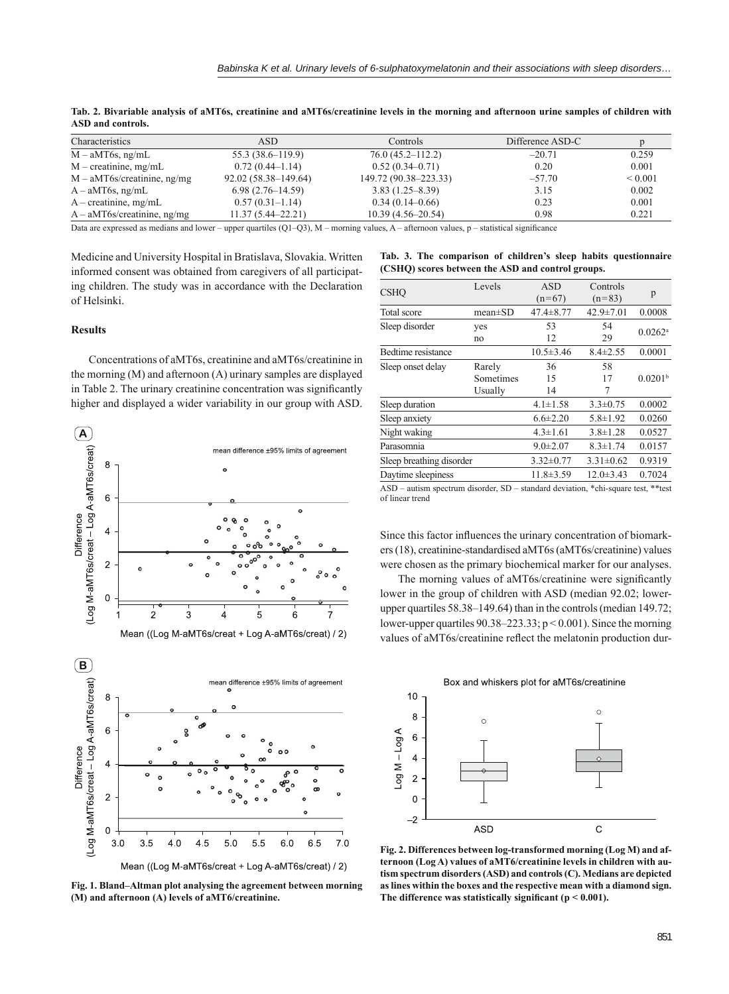| Characteristics                | ASD.                  | Controls              | Difference ASD-C |              |
|--------------------------------|-----------------------|-----------------------|------------------|--------------|
| $M - aMT6s$ , ng/mL            | 55.3 (38.6–119.9)     | $76.0(45.2 - 112.2)$  | $-20.71$         | 0.259        |
| $M$ – creatinine, mg/mL        | $0.72(0.44-1.14)$     | $0.52(0.34 - 0.71)$   | 0.20             | 0.001        |
| $M - aMT6s/creatinine$ , ng/mg | 92.02 (58.38–149.64)  | 149.72 (90.38–223.33) | $-57.70$         | ${}_{0.001}$ |
| $A - aMT6s$ , ng/mL            | $6.98(2.76-14.59)$    | $3.83(1.25 - 8.39)$   | 3.15             | 0.002        |
| $A -$ creatinine, mg/mL        | $0.57(0.31-1.14)$     | $0.34(0.14-0.66)$     | 0.23             | 0.001        |
| $A - aMT6s/creatment$ ng/mg    | $11.37(5.44 - 22.21)$ | $10.39(4.56-20.54)$   | 0.98             | 0.221        |

**Tab. 2. Bivariable analysis of aMT6s, creatinine and aMT6s/creatinine levels in the morning and afternoon urine samples of children with ASD and controls.**

Data are expressed as medians and lower – upper quartiles (Q1–Q3), M – morning values, A – afternoon values,  $p$  – statistical significance

Medicine and University Hospital in Bratislava, Slovakia. Written informed consent was obtained from caregivers of all participating children. The study was in accordance with the Declaration of Helsinki.

# **Results**

Concentrations of aMT6s, creatinine and aMT6s/creatinine in the morning (M) and afternoon (A) urinary samples are displayed in Table 2. The urinary creatinine concentration was significantly higher and displayed a wider variability in our group with ASD.





**Fig. 1. Bland‒Altman plot analysing the agreement between morning (M) and afternoon (A) levels of aMT6/creatinine.**

|  |                                                   |  |  | Tab. 3. The comparison of children's sleep habits questionnaire |
|--|---------------------------------------------------|--|--|-----------------------------------------------------------------|
|  | (CSHQ) scores between the ASD and control groups. |  |  |                                                                 |

| <b>CSHO</b>                                                                            | Levels        | <b>ASD</b><br>$(n=67)$ | Controls<br>$(n=83)$ | p                     |
|----------------------------------------------------------------------------------------|---------------|------------------------|----------------------|-----------------------|
| Total score                                                                            | $mean \pm SD$ | $47.4 \pm 8.77$        | $42.9 \pm 7.01$      | 0.0008                |
| Sleep disorder                                                                         | ves           | 53                     | 54                   |                       |
|                                                                                        | no            | 12                     | 29                   | $0.0262$ <sup>a</sup> |
| Bedtime resistance                                                                     |               | $10.5 \pm 3.46$        | $8.4 \pm 2.55$       | 0.0001                |
| Sleep onset delay                                                                      | Rarely        | 36                     | 58                   |                       |
|                                                                                        | Sometimes     | 15                     | 17                   | 0.0201 <sup>b</sup>   |
|                                                                                        | Usually       | 14                     | 7                    |                       |
| Sleep duration                                                                         |               | $4.1 \pm 1.58$         | $3.3 \pm 0.75$       | 0.0002                |
| Sleep anxiety                                                                          |               | $6.6 \pm 2.20$         | $5.8 \pm 1.92$       | 0.0260                |
| Night waking                                                                           |               | $4.3 \pm 1.61$         | $3.8 \pm 1.28$       | 0.0527                |
| Parasomnia                                                                             |               | $9.0 \pm 2.07$         | $8.3 \pm 1.74$       | 0.0157                |
| Sleep breathing disorder                                                               |               | $3.32 \pm 0.77$        | $3.31 \pm 0.62$      | 0.9319                |
| Daytime sleepiness                                                                     |               | $11.8 \pm 3.59$        | $12.0 \pm 3.43$      | 0.7024                |
| $\Delta$ SD = autism spectrum disorder SD = standard deviation *chi-square test **test |               |                        |                      |                       |

ASD – autism spectrum disorder, SD – standard deviation, \*chi-square test, \*\*test of linear trend

Since this factor influences the urinary concentration of biomarkers (18), creatinine-standardised aMT6s (aMT6s/creatinine) values were chosen as the primary biochemical marker for our analyses.

The morning values of aMT6s/creatinine were significantly lower in the group of children with ASD (median 92.02; lowerupper quartiles  $58.38 - 149.64$ ) than in the controls (median  $149.72$ ; lower-upper quartiles  $90.38 - 223.33$ ;  $p \le 0.001$ ). Since the morning values of aMT6s/creatinine reflect the melatonin production dur-



**Fig. 2. Differences between log-transformed morning (Log M) and afternoon (Log A) values of aMT6/creatinine levels in children with autism spectrum disorders (ASD) and controls (C). Medians are depicted as lines within the boxes and the respective mean with a diamond sign.**  The difference was statistically significant ( $p < 0.001$ ).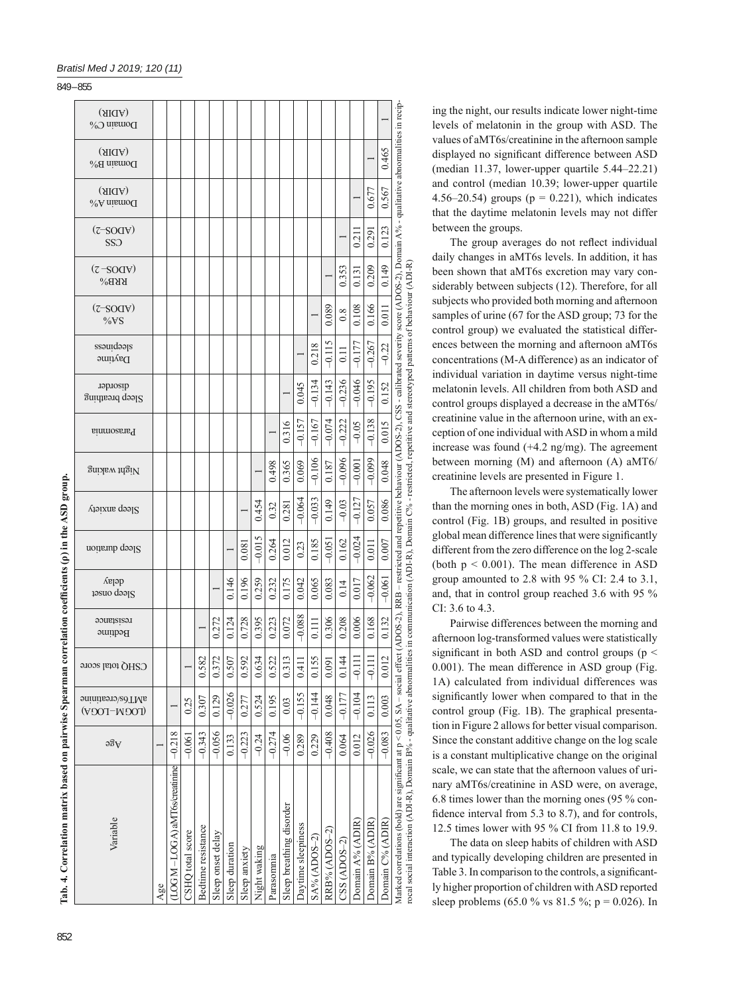| $-0.134$<br>$-0.143$<br>0.045<br>reprozib<br>$S$ leep breathing<br>$-0.167$<br>$-0.157$<br>0.316<br><b>Parasomnia</b><br>$-0.106$<br>0.365<br>0.069<br>0.498<br>0.187<br>Night waking<br>$-0.033$<br>$-0.064$<br>0.149<br>0.454<br>0.281<br>0.32<br>$\gamma$ leep anxiety<br>$-0.015$<br>0.264<br>0.012<br>0.185<br>$-0.051$<br>0.081<br>0.23<br>Sleep duration<br>delay<br>0.146<br>0.196<br>0.259<br>0.175<br>0.065<br>0.232<br>0.042<br>0.083<br>$19800$ d $99$<br>$-0.088$<br>0.072<br>0.306<br>0.728<br>0.395<br>resistance<br>0.272<br>0.124<br>0.223<br>0.111<br><b>Bedtime</b><br>0.507<br>0.582<br>0.372<br>0.592<br>0.634<br>0.522<br>0.313<br>0.155<br>0.091<br>0.411<br>CSHQ total score<br>$-0.026$<br>$-0.155$<br>$-0.144$<br>0.524<br>0.048<br>0.129<br>0.195<br>anininsyles/creatinine<br>0.307<br>0.277<br>0.03<br>0.25<br>(LOGN–LOGA)<br>$-0.343$<br>$-0.056$<br>$-0.408$<br>$-0.218$<br>$-0.223$<br>$-0.274$<br>$-0.06$<br>0.229<br>$-0.061$<br>0.133<br>$-0.24$<br>0.289<br>$\partial \mathcal{B}$<br>$LOG M - LOGA)$ aMT6s/creatinine<br>Sleep breathing disorder<br>Variable<br>Daytime sleepiness<br>Bedtime resistance<br>RRB% (ADOS-2)<br>CSHQ total score<br>Sleep onset delay<br>SA% (ADOS-2)<br>Sleep duration<br>Night waking<br>Sleep anxiety<br>Parasommia<br>Age |          |                                             |                                             |                                                                              |                     |
|--------------------------------------------------------------------------------------------------------------------------------------------------------------------------------------------------------------------------------------------------------------------------------------------------------------------------------------------------------------------------------------------------------------------------------------------------------------------------------------------------------------------------------------------------------------------------------------------------------------------------------------------------------------------------------------------------------------------------------------------------------------------------------------------------------------------------------------------------------------------------------------------------------------------------------------------------------------------------------------------------------------------------------------------------------------------------------------------------------------------------------------------------------------------------------------------------------------------------------------------------------------------------------------------------|----------|---------------------------------------------|---------------------------------------------|------------------------------------------------------------------------------|---------------------|
|                                                                                                                                                                                                                                                                                                                                                                                                                                                                                                                                                                                                                                                                                                                                                                                                                                                                                                                                                                                                                                                                                                                                                                                                                                                                                                  |          | $(2 - SOdA)$<br>%VS<br>stepiness<br>Daytime | $(7 - SOd)$<br>SSO<br>$(2 - SOdA)$<br>$YB\$ | (AIIA)<br>Domain B%<br>(AIdA)<br>$\lambda$ <sup>0</sup> A nismo <sup>Q</sup> | (AIdA)<br>Domain C% |
|                                                                                                                                                                                                                                                                                                                                                                                                                                                                                                                                                                                                                                                                                                                                                                                                                                                                                                                                                                                                                                                                                                                                                                                                                                                                                                  |          |                                             |                                             |                                                                              |                     |
|                                                                                                                                                                                                                                                                                                                                                                                                                                                                                                                                                                                                                                                                                                                                                                                                                                                                                                                                                                                                                                                                                                                                                                                                                                                                                                  |          |                                             |                                             |                                                                              |                     |
|                                                                                                                                                                                                                                                                                                                                                                                                                                                                                                                                                                                                                                                                                                                                                                                                                                                                                                                                                                                                                                                                                                                                                                                                                                                                                                  |          |                                             |                                             |                                                                              |                     |
|                                                                                                                                                                                                                                                                                                                                                                                                                                                                                                                                                                                                                                                                                                                                                                                                                                                                                                                                                                                                                                                                                                                                                                                                                                                                                                  |          |                                             |                                             |                                                                              |                     |
|                                                                                                                                                                                                                                                                                                                                                                                                                                                                                                                                                                                                                                                                                                                                                                                                                                                                                                                                                                                                                                                                                                                                                                                                                                                                                                  |          |                                             |                                             |                                                                              |                     |
|                                                                                                                                                                                                                                                                                                                                                                                                                                                                                                                                                                                                                                                                                                                                                                                                                                                                                                                                                                                                                                                                                                                                                                                                                                                                                                  |          |                                             |                                             |                                                                              |                     |
|                                                                                                                                                                                                                                                                                                                                                                                                                                                                                                                                                                                                                                                                                                                                                                                                                                                                                                                                                                                                                                                                                                                                                                                                                                                                                                  |          |                                             |                                             |                                                                              |                     |
|                                                                                                                                                                                                                                                                                                                                                                                                                                                                                                                                                                                                                                                                                                                                                                                                                                                                                                                                                                                                                                                                                                                                                                                                                                                                                                  |          |                                             |                                             |                                                                              |                     |
|                                                                                                                                                                                                                                                                                                                                                                                                                                                                                                                                                                                                                                                                                                                                                                                                                                                                                                                                                                                                                                                                                                                                                                                                                                                                                                  |          |                                             |                                             |                                                                              |                     |
|                                                                                                                                                                                                                                                                                                                                                                                                                                                                                                                                                                                                                                                                                                                                                                                                                                                                                                                                                                                                                                                                                                                                                                                                                                                                                                  |          |                                             |                                             |                                                                              |                     |
|                                                                                                                                                                                                                                                                                                                                                                                                                                                                                                                                                                                                                                                                                                                                                                                                                                                                                                                                                                                                                                                                                                                                                                                                                                                                                                  |          |                                             |                                             |                                                                              |                     |
|                                                                                                                                                                                                                                                                                                                                                                                                                                                                                                                                                                                                                                                                                                                                                                                                                                                                                                                                                                                                                                                                                                                                                                                                                                                                                                  |          | 0.218                                       |                                             |                                                                              |                     |
|                                                                                                                                                                                                                                                                                                                                                                                                                                                                                                                                                                                                                                                                                                                                                                                                                                                                                                                                                                                                                                                                                                                                                                                                                                                                                                  | $-0.074$ | 0.089<br>$-0.115$                           |                                             |                                                                              |                     |
| $-0.236$<br>$-0.222$<br>$-0.096$<br>$-0.03$<br>0.162<br>0.14<br>0.208<br>0.144<br>$-0.177$<br>0.064<br>$CSS(ADOS-2)$                                                                                                                                                                                                                                                                                                                                                                                                                                                                                                                                                                                                                                                                                                                                                                                                                                                                                                                                                                                                                                                                                                                                                                             |          | 0.8<br>$\overline{0}$                       | 0.353                                       |                                                                              |                     |
| $-0.046$<br>$-0.05$<br>$-0.001$<br>$-0.127$<br>$-0.024$<br>0.017<br>0.006<br>$\frac{111}{9}$<br>$-0.104$<br>0.012<br>Domain A% (ADIR)                                                                                                                                                                                                                                                                                                                                                                                                                                                                                                                                                                                                                                                                                                                                                                                                                                                                                                                                                                                                                                                                                                                                                            |          | 0.108<br>$-0.177$                           | 0.21<br>0.131                               |                                                                              |                     |
| $-0.195$<br>$-0.138$<br>$-0.099$<br>0.057<br>0.011<br>$-0.062$<br>0.168<br>$-0.111$<br>0.113<br>$-0.026$<br>Domain B% (ADIR)                                                                                                                                                                                                                                                                                                                                                                                                                                                                                                                                                                                                                                                                                                                                                                                                                                                                                                                                                                                                                                                                                                                                                                     |          | 0.166<br>$-0.267$                           | 0.291<br>0.209                              | 0.677                                                                        |                     |
| 0.152<br>0.015<br>0.048<br>0.086<br>0.007<br>$-0.061$<br>0.132<br>0.012<br>0.003<br>$-0.083$<br>Domain C% (ADIR)                                                                                                                                                                                                                                                                                                                                                                                                                                                                                                                                                                                                                                                                                                                                                                                                                                                                                                                                                                                                                                                                                                                                                                                 |          | 0.011<br>$-0.22$                            | 0.123<br>0.149                              | 0.465<br>0.567                                                               |                     |

| ١<br>I<br>j |
|-------------|
|             |
|             |
|             |
|             |
|             |
| Ş           |
|             |
| l           |
|             |
| l           |
|             |
|             |
| Ì           |
|             |
| ć<br>l<br>l |

ing the night, our results indicate lower night-time levels of melatonin in the group with ASD. The values of aMT6s/creatinine in the afternoon sample displayed no significant difference between ASD (median  $11.37$ , lower-upper quartile  $5.44-22.21$ ) and control (median 10.39; lower-upper quartile 4.56–20.54) groups ( $p = 0.221$ ), which indicates that the daytime melatonin levels may not differ between the groups.

The group averages do not reflect individual daily changes in aMT6s levels. In addition, it has been shown that aMT6s excretion may vary considerably between subjects (12). Therefore, for all subjects who provided both morning and afternoon samples of urine (67 for the ASD group; 73 for the control group) we evaluated the statistical differences between the morning and afternoon aMT6s concentrations (M-A difference) as an indicator of individual variation in daytime versus night-time melatonin levels. All children from both ASD and control groups displayed a decrease in the aMT6s/ creatinine value in the afternoon urine, with an exception of one individual with ASD in whom a mild increase was found (+4.2 ng/mg). The agreement between morning (M) and afternoon (A) aMT6/ creatinine levels are presented in Figure 1.

The afternoon levels were systematically lower than the morning ones in both, ASD (Fig. 1A) and control (Fig. 1B) groups, and resulted in positive global mean difference lines that were significantly different from the zero difference on the log 2-scale (both  $p < 0.001$ ). The mean difference in ASD group amounted to 2.8 with 95 % CI: 2.4 to 3.1, and, that in control group reached 3.6 with 95 % CI: 3.6 to 4.3.

Pairwise differences between the morning and afternoon log-transformed values were statistically significant in both ASD and control groups ( $p \le$ 0.001). The mean difference in ASD group (Fig. 1A) calculated from individual differences was significantly lower when compared to that in the control group (Fig. 1B). The graphical presentation in Figure 2 allows for better visual comparison. Since the constant additive change on the log scale is a constant multiplicative change on the original scale, we can state that the afternoon values of urinary aMT6s/creatinine in ASD were, on average, 6.8 times lower than the morning ones (95 % confidence interval from  $5.3$  to  $8.7$ ), and for controls, 12.5 times lower with 95 % CI from 11.8 to 19.9.

The data on sleep habits of children with ASD and typically developing children are presented in Table 3. In comparison to the controls, a significantly higher proportion of children with ASD reported sleep problems (65.0 % vs 81.5 %; p = 0.026). In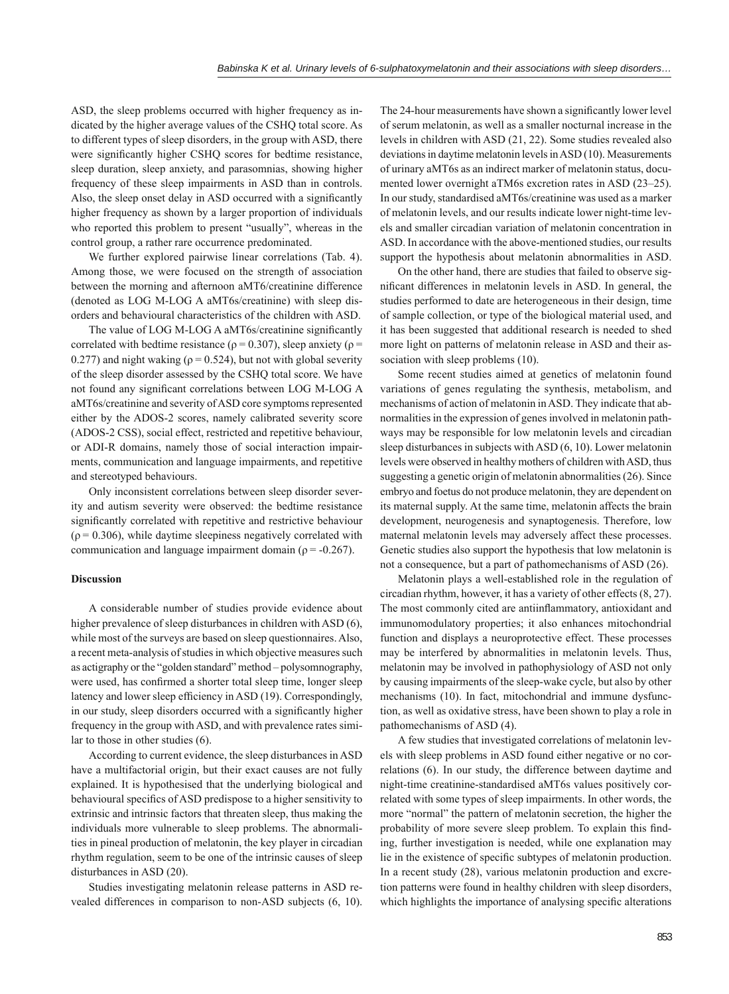ASD, the sleep problems occurred with higher frequency as indicated by the higher average values of the CSHQ total score. As to different types of sleep disorders, in the group with ASD, there were significantly higher CSHQ scores for bedtime resistance, sleep duration, sleep anxiety, and parasomnias, showing higher frequency of these sleep impairments in ASD than in controls. Also, the sleep onset delay in ASD occurred with a significantly higher frequency as shown by a larger proportion of individuals who reported this problem to present "usually", whereas in the control group, a rather rare occurrence predominated.

We further explored pairwise linear correlations (Tab. 4). Among those, we were focused on the strength of association between the morning and afternoon aMT6/creatinine difference (denoted as LOG M-LOG A aMT6s/creatinine) with sleep disorders and behavioural characteristics of the children with ASD.

The value of LOG M-LOG A aMT6s/creatinine significantly correlated with bedtime resistance ( $\rho = 0.307$ ), sleep anxiety ( $\rho =$ 0.277) and night waking ( $\rho$  = 0.524), but not with global severity of the sleep disorder assessed by the CSHQ total score. We have not found any significant correlations between LOG M-LOG A aMT6s/creatinine and severity of ASD core symptoms represented either by the ADOS-2 scores, namely calibrated severity score (ADOS-2 CSS), social effect, restricted and repetitive behaviour, or ADI-R domains, namely those of social interaction impairments, communication and language impairments, and repetitive and stereotyped behaviours.

Only inconsistent correlations between sleep disorder severity and autism severity were observed: the bedtime resistance significantly correlated with repetitive and restrictive behaviour  $(\rho = 0.306)$ , while daytime sleepiness negatively correlated with communication and language impairment domain ( $\rho = -0.267$ ).

#### **Discussion**

A considerable number of studies provide evidence about higher prevalence of sleep disturbances in children with ASD (6). while most of the surveys are based on sleep questionnaires. Also, a recent meta-analysis of studies in which objective measures such as actigraphy or the "golden standard" method - polysomnography, were used, has confirmed a shorter total sleep time, longer sleep latency and lower sleep efficiency in ASD (19). Correspondingly, in our study, sleep disorders occurred with a significantly higher frequency in the group with ASD, and with prevalence rates similar to those in other studies (6).

According to current evidence, the sleep disturbances in ASD have a multifactorial origin, but their exact causes are not fully explained. It is hypothesised that the underlying biological and behavioural specifics of ASD predispose to a higher sensitivity to extrinsic and intrinsic factors that threaten sleep, thus making the individuals more vulnerable to sleep problems. The abnormalities in pineal production of melatonin, the key player in circadian rhythm regulation, seem to be one of the intrinsic causes of sleep disturbances in ASD (20).

Studies investigating melatonin release patterns in ASD revealed differences in comparison to non-ASD subjects (6, 10).

The 24-hour measurements have shown a significantly lower level of serum melatonin, as well as a smaller nocturnal increase in the levels in children with ASD (21, 22). Some studies revealed also deviations in daytime melatonin levels in ASD (10). Measurements of urinary aMT6s as an indirect marker of melatonin status, documented lower overnight aTM6s excretion rates in ASD (23-25). In our study, standardised aMT6s/creatinine was used as a marker of melatonin levels, and our results indicate lower night-time levels and smaller circadian variation of melatonin concentration in ASD. In accordance with the above-mentioned studies, our results support the hypothesis about melatonin abnormalities in ASD.

On the other hand, there are studies that failed to observe significant differences in melatonin levels in ASD. In general, the studies performed to date are heterogeneous in their design, time of sample collection, or type of the biological material used, and it has been suggested that additional research is needed to shed more light on patterns of melatonin release in ASD and their association with sleep problems  $(10)$ .

Some recent studies aimed at genetics of melatonin found variations of genes regulating the synthesis, metabolism, and mechanisms of action of melatonin in ASD. They indicate that abnormalities in the expression of genes involved in melatonin pathways may be responsible for low melatonin levels and circadian sleep disturbances in subjects with ASD (6, 10). Lower melatonin levels were observed in healthy mothers of children with ASD, thus suggesting a genetic origin of melatonin abnormalities (26). Since embryo and foetus do not produce melatonin, they are dependent on its maternal supply. At the same time, melatonin affects the brain development, neurogenesis and synaptogenesis. Therefore, low maternal melatonin levels may adversely affect these processes. Genetic studies also support the hypothesis that low melatonin is not a consequence, but a part of pathomechanisms of ASD (26).

Melatonin plays a well-established role in the regulation of circadian rhythm, however, it has a variety of other effects (8, 27). The most commonly cited are antiinflammatory, antioxidant and immunomodulatory properties; it also enhances mitochondrial function and displays a neuroprotective effect. These processes may be interfered by abnormalities in melatonin levels. Thus, melatonin may be involved in pathophysiology of ASD not only by causing impairments of the sleep-wake cycle, but also by other mechanisms (10). In fact, mitochondrial and immune dysfunction, as well as oxidative stress, have been shown to play a role in pathomechanisms of ASD (4).

A few studies that investigated correlations of melatonin levels with sleep problems in ASD found either negative or no correlations (6). In our study, the difference between daytime and night-time creatinine-standardised aMT6s values positively correlated with some types of sleep impairments. In other words, the more "normal" the pattern of melatonin secretion, the higher the probability of more severe sleep problem. To explain this finding, further investigation is needed, while one explanation may lie in the existence of specific subtypes of melatonin production. In a recent study (28), various melatonin production and excretion patterns were found in healthy children with sleep disorders, which highlights the importance of analysing specific alterations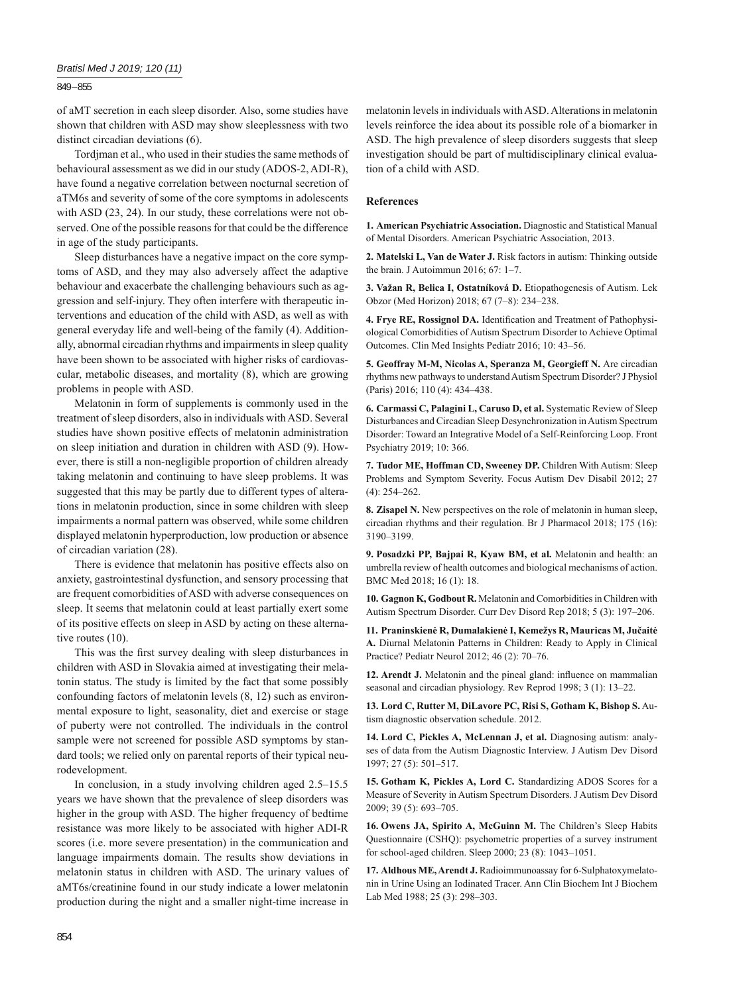849 – 855

of aMT secretion in each sleep disorder. Also, some studies have shown that children with ASD may show sleeplessness with two distinct circadian deviations (6).

Tordjman et al., who used in their studies the same methods of behavioural assessment as we did in our study (ADOS-2, ADI-R), have found a negative correlation between nocturnal secretion of aTM6s and severity of some of the core symptoms in adolescents with ASD (23, 24). In our study, these correlations were not observed. One of the possible reasons for that could be the difference in age of the study participants.

Sleep disturbances have a negative impact on the core symptoms of ASD, and they may also adversely affect the adaptive behaviour and exacerbate the challenging behaviours such as aggression and self-injury. They often interfere with therapeutic interventions and education of the child with ASD, as well as with general everyday life and well-being of the family (4). Additionally, abnormal circadian rhythms and impairments in sleep quality have been shown to be associated with higher risks of cardiovascular, metabolic diseases, and mortality (8), which are growing problems in people with ASD.

Melatonin in form of supplements is commonly used in the treatment of sleep disorders, also in individuals with ASD. Several studies have shown positive effects of melatonin administration on sleep initiation and duration in children with ASD (9). However, there is still a non-negligible proportion of children already taking melatonin and continuing to have sleep problems. It was suggested that this may be partly due to different types of alterations in melatonin production, since in some children with sleep impairments a normal pattern was observed, while some children displayed melatonin hyperproduction, low production or absence of circadian variation (28).

There is evidence that melatonin has positive effects also on anxiety, gastrointestinal dysfunction, and sensory processing that are frequent comorbidities of ASD with adverse consequences on sleep. It seems that melatonin could at least partially exert some of its positive effects on sleep in ASD by acting on these alternative routes (10).

This was the first survey dealing with sleep disturbances in children with ASD in Slovakia aimed at investigating their melatonin status. The study is limited by the fact that some possibly confounding factors of melatonin levels (8, 12) such as environmental exposure to light, seasonality, diet and exercise or stage of puberty were not controlled. The individuals in the control sample were not screened for possible ASD symptoms by standard tools; we relied only on parental reports of their typical neurodevelopment.

In conclusion, in a study involving children aged 2.5–15.5 years we have shown that the prevalence of sleep disorders was higher in the group with ASD. The higher frequency of bedtime resistance was more likely to be associated with higher ADI-R scores (i.e. more severe presentation) in the communication and language impairments domain. The results show deviations in melatonin status in children with ASD. The urinary values of aMT6s/creatinine found in our study indicate a lower melatonin production during the night and a smaller night-time increase in

melatonin levels in individuals with ASD. Alterations in melatonin levels reinforce the idea about its possible role of a biomarker in ASD. The high prevalence of sleep disorders suggests that sleep investigation should be part of multidisciplinary clinical evaluation of a child with ASD.

### **References**

**1. American Psychiatric Association.** Diagnostic and Statistical Manual of Mental Disorders. American Psychiatric Association, 2013.

**2. Matelski L, Van de Water J.** Risk factors in autism: Thinking outside the brain. J Autoimmun 2016; 67: 1-7.

**3. Važan R, Belica I, Ostatníková D.** Etiopathogenesis of Autism. Lek Obzor (Med Horizon) 2018; 67 (7‒8): 234‒238.

4. Frye RE, Rossignol DA. Identification and Treatment of Pathophysiological Comorbidities of Autism Spectrum Disorder to Achieve Optimal Outcomes. Clin Med Insights Pediatr 2016; 10: 43-56.

**5. Geoffray M-M, Nicolas A, Speranza M, Georgieff N.** Are circadian rhythms new pathways to understand Autism Spectrum Disorder? J Physiol (Paris) 2016; 110 (4): 434-438.

**6. Carmassi C, Palagini L, Caruso D, et al.** Systematic Review of Sleep Disturbances and Circadian Sleep Desynchronization in Autism Spectrum Disorder: Toward an Integrative Model of a Self-Reinforcing Loop. Front Psychiatry 2019; 10: 366.

**7. Tudor ME, Hoffman CD, Sweeney DP.** Children With Autism: Sleep Problems and Symptom Severity. Focus Autism Dev Disabil 2012; 27  $(4)$ : 254-262.

**8. Zisapel N.** New perspectives on the role of melatonin in human sleep, circadian rhythms and their regulation. Br J Pharmacol 2018; 175 (16): 3190‒3199.

**9. Posadzki PP, Bajpai R, Kyaw BM, et al.** Melatonin and health: an umbrella review of health outcomes and biological mechanisms of action. BMC Med 2018; 16 (1): 18.

**10. Gagnon K, Godbout R.** Melatonin and Comorbidities in Children with Autism Spectrum Disorder. Curr Dev Disord Rep 2018; 5 (3): 197-206.

**11. Praninskienė R, Dumalakienė I, Kemežys R, Mauricas M, Jučaitė A.** Diurnal Melatonin Patterns in Children: Ready to Apply in Clinical Practice? Pediatr Neurol 2012; 46 (2): 70‒76.

12. Arendt J. Melatonin and the pineal gland: influence on mammalian seasonal and circadian physiology. Rev Reprod 1998; 3 (1): 13-22.

**13. Lord C, Rutter M, DiLavore PC, Risi S, Gotham K, Bishop S.** Autism diagnostic observation schedule. 2012.

**14. Lord C, Pickles A, McLennan J, et al.** Diagnosing autism: analyses of data from the Autism Diagnostic Interview. J Autism Dev Disord 1997; 27 (5): 501‒517.

**15. Gotham K, Pickles A, Lord C.** Standardizing ADOS Scores for a Measure of Severity in Autism Spectrum Disorders. J Autism Dev Disord 2009; 39 (5): 693‒705.

**16. Owens JA, Spirito A, McGuinn M.** The Children's Sleep Habits Questionnaire (CSHQ): psychometric properties of a survey instrument for school-aged children. Sleep 2000; 23 (8): 1043-1051.

**17. Aldhous ME, Arendt J.** Radioimmunoassay for 6-Sulphatoxymelatonin in Urine Using an Iodinated Tracer. Ann Clin Biochem Int J Biochem Lab Med 1988; 25 (3): 298-303.